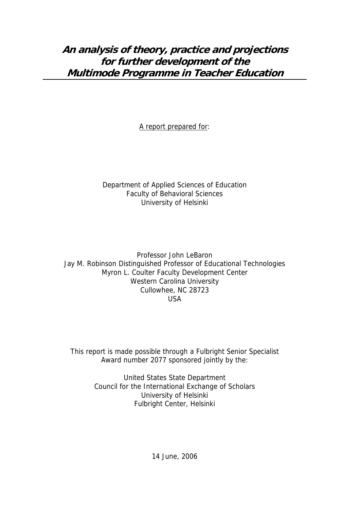A report prepared for:

# Department of Applied Sciences of Education Faculty of Behavioral Sciences University of Helsinki

Professor John LeBaron Jay M. Robinson Distinguished Professor of Educational Technologies Myron L. Coulter Faculty Development Center Western Carolina University Cullowhee, NC 28723 USA

This report is made possible through a Fulbright Senior Specialist Award number 2077 sponsored jointly by the:

> United States State Department Council for the International Exchange of Scholars University of Helsinki Fulbright Center, Helsinki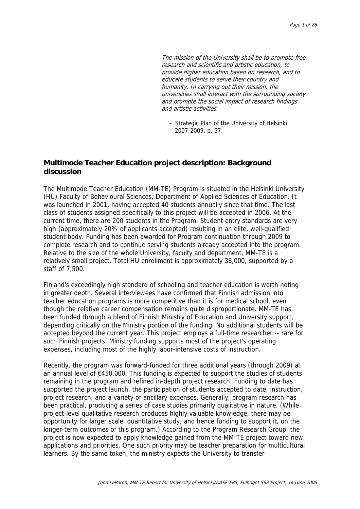universities shall interact with the surrounding society and promote the social impact of research findings The mission of the University shall be to promote free research and scientific and artistic education, to provide higher education based on research, and to educate students to serve their country and humanity. In carrying out their mission, the and artistic activities.

- Strategic Plan of the University of Helsinki 2007-2009, p. 57

## **Multimode Teacher Education project description: Background discussion**

The Multimode Teacher Education (MM-TE) Program is situated in the Helsinki University (HU) Faculty of Behavioural Sciences, Department of Applied Sciences of Education. It was launched in 2001, having accepted 40 students annually since that time. The last class of students assigned specifically to this project will be accepted in 2006. At the current time, there are 200 students in the Program. Student entry standards are very high (approximately 20% of applicants accepted) resulting in an elite, well-qualified student body. Funding has been awarded for Program continuation through 2009 to complete research and to continue serving students already accepted into the program. Relative to the size of the whole University, faculty and department, MM-TE is a relatively small project. Total HU enrollment is approximately 38,000, supported by a staff of 7,500.

Finland's exceedingly high standard of schooling and teacher education is worth noting in greater depth. Several interviewees have confirmed that Finnish admission into teacher education programs is more competitive than it is for medical school, even though the relative career compensation remains quite disproportionate. MM-TE has been funded through a blend of Finnish Ministry of Education and University support, depending critically on the Ministry portion of the funding. No additional students will be accepted beyond the current year. This project employs a full-time researcher -- rare for such Finnish projects. Ministry funding supports most of the project's operating expenses, including most of the highly labor-intensive costs of instruction.

Recently, the program was forward-funded for three additional years (through 2009) at an annual level of €450,000. This funding is expected to support the studies of students remaining in the program and refined in-depth project research. Funding to date has supported the project launch, the participation of students accepted to date, instruction, project research, and a variety of ancillary expenses. Generally, program research has been practical, producing a series of case studies primarily qualitative in nature. (While project-level qualitative research produces highly valuable knowledge, there may be opportunity for larger scale, quantitative study, and hence funding to support it, on the longer-term outcomes of this program.) According to the Program Research Group, the project is now expected to apply knowledge gained from the MM-TE project toward new applications and priorities. One such priority may be teacher preparation for multicultural learners. By the same token, the ministry expects the University to transfer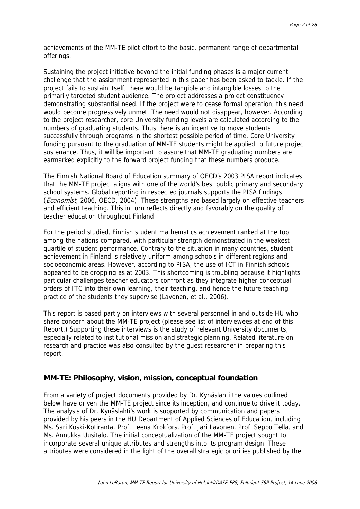achievements of the MM-TE pilot effort to the basic, permanent range of departmental offerings.

Sustaining the project initiative beyond the initial funding phases is a major current challenge that the assignment represented in this paper has been asked to tackle. If the project fails to sustain itself, there would be tangible and intangible losses to the primarily targeted student audience. The project addresses a project constituency demonstrating substantial need. If the project were to cease formal operation, this need would become progressively unmet. The need would not disappear, however. According to the project researcher, core University funding levels are calculated according to the numbers of graduating students. Thus there is an incentive to move students successfully through programs in the shortest possible period of time. Core University funding pursuant to the graduation of MM-TE students might be applied to future project sustenance. Thus, it will be important to assure that MM-TE graduating numbers are earmarked explicitly to the forward project funding that these numbers produce.

The Finnish National Board of Education summary of OECD's 2003 PISA report indicates that the MM-TE project aligns with one of the world's best public primary and secondary school systems. Global reporting in respected journals supports the PISA findings (*Economist*, 2006, OECD, 2004). These strengths are based largely on effective teachers and efficient teaching. This in turn reflects directly and favorably on the quality of teacher education throughout Finland.

For the period studied, Finnish student mathematics achievement ranked at the top among the nations compared, with particular strength demonstrated in the weakest quartile of student performance. Contrary to the situation in many countries, student achievement in Finland is relatively uniform among schools in different regions and socioeconomic areas. However, according to PISA, the use of ICT in Finnish schools appeared to be dropping as at 2003. This shortcoming is troubling because it highlights particular challenges teacher educators confront as they integrate higher conceptual orders of ITC into their own learning, their teaching, and hence the future teaching practice of the students they supervise (Lavonen, et al., 2006).

This report is based partly on interviews with several personnel in and outside HU who share concern about the MM-TE project (please see list of interviewees at end of this Report.) Supporting these interviews is the study of relevant University documents, especially related to institutional mission and strategic planning. Related literature on research and practice was also consulted by the guest researcher in preparing this report.

### **MM-TE: Philosophy, vision, mission, conceptual foundation**

From a variety of project documents provided by Dr. Kynäslahti the values outlined below have driven the MM-TE project since its inception, and continue to drive it today. The analysis of Dr. Kynäslahti's work is supported by communication and papers provided by his peers in the HU Department of Applied Sciences of Education, including Ms. Sari Koski-Kotiranta, Prof. Leena Krokfors, Prof. Jari Lavonen, Prof. Seppo Tella, and Ms. Annukka Uusitalo. The initial conceptualization of the MM-TE project sought to incorporate several unique attributes and strengths into its program design. These attributes were considered in the light of the overall strategic priorities published by the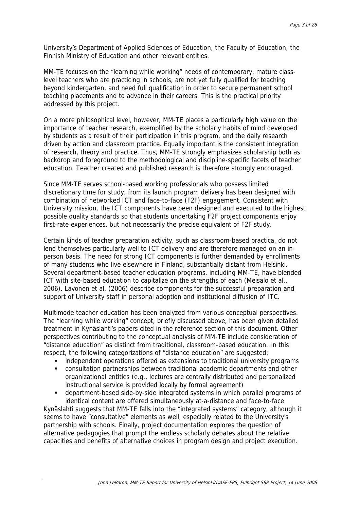University's Department of Applied Sciences of Education, the Faculty of Education, the Finnish Ministry of Education and other relevant entities.

MM-TE focuses on the "learning while working" needs of contemporary, mature classlevel teachers who are practicing in schools, are not yet fully qualified for teaching beyond kindergarten, and need full qualification in order to secure permanent school teaching placements and to advance in their careers. This is the practical priority addressed by this project.

On a more philosophical level, however, MM-TE places a particularly high value on the importance of teacher research, exemplified by the scholarly habits of mind developed by students as a result of their participation in this program, and the daily research driven by action and classroom practice. Equally important is the consistent integration of research, theory and practice. Thus, MM-TE strongly emphasizes scholarship both as backdrop and foreground to the methodological and discipline-specific facets of teacher education. Teacher created and published research is therefore strongly encouraged.

Since MM-TE serves school-based working professionals who possess limited discretionary time for study, from its launch program delivery has been designed with combination of networked ICT and face-to-face (F2F) engagement. Consistent with University mission, the ICT components have been designed and executed to the highest possible quality standards so that students undertaking F2F project components enjoy first-rate experiences, but not necessarily the precise equivalent of F2F study.

Certain kinds of teacher preparation activity, such as classroom-based practica, do not lend themselves particularly well to ICT delivery and are therefore managed on an inperson basis. The need for strong ICT components is further demanded by enrollments of many students who live elsewhere in Finland, substantially distant from Helsinki. Several department-based teacher education programs, including MM-TE, have blended ICT with site-based education to capitalize on the strengths of each (Meisalo et al., 2006). Lavonen et al. (2006) describe components for the successful preparation and support of University staff in personal adoption and institutional diffusion of ITC.

Multimode teacher education has been analyzed from various conceptual perspectives. The "learning while working" concept, briefly discussed above, has been given detailed treatment in Kynäslahti's papers cited in the reference section of this document. Other perspectives contributing to the conceptual analysis of MM-TE include consideration of "distance education" as distinct from traditional, classroom-based education. In this respect, the following categorizations of "distance education" are suggested:

- **EXTERGHT OPS** independent operations offered as extensions to traditional university programs
- consultation partnerships between traditional academic departments and other organizational entities (e.g., lectures are centrally distributed and personalized instructional service is provided locally by formal agreement)
- department-based side-by-side integrated systems in which parallel programs of identical content are offered simultaneously at-a-distance and face-to-face

Kynäslahti suggests that MM-TE falls into the "integrated systems" category, although it seems to have "consultative" elements as well, especially related to the University's partnership with schools. Finally, project documentation explores the question of alternative pedagogies that prompt the endless scholarly debates about the relative capacities and benefits of alternative choices in program design and project execution.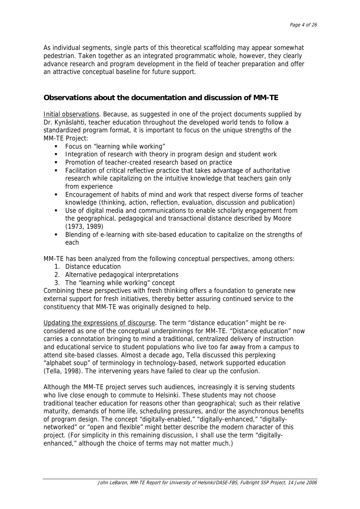As individual segments, single parts of this theoretical scaffolding may appear somewhat pedestrian. Taken together as an integrated programmatic whole, however, they clearly advance research and program development in the field of teacher preparation and offer an attractive conceptual baseline for future support.

# **Observations about the documentation and discussion of MM-TE**

Initial observations. Because, as suggested in one of the project documents supplied by Dr. Kynäslahti, teacher education throughout the developed world tends to follow a standardized program format, it is important to focus on the unique strengths of the MM-TE Project:

- **Focus on "learning while working"**
- Integration of research with theory in program design and student work
- **Promotion of teacher-created research based on practice**
- Facilitation of critical reflective practice that takes advantage of authoritative research while capitalizing on the intuitive knowledge that teachers gain only from experience
- Encouragement of habits of mind and work that respect diverse forms of teacher knowledge (thinking, action, reflection, evaluation, discussion and publication)
- Use of digital media and communications to enable scholarly engagement from the geographical, pedagogical and transactional distance described by Moore (1973, 1989)
- Blending of e-learning with site-based education to capitalize on the strengths of each

MM-TE has been analyzed from the following conceptual perspectives, among others:

- 1. Distance education
- 2. Alternative pedagogical interpretations
- 3. The "learning while working" concept

Combining these perspectives with fresh thinking offers a foundation to generate new external support for fresh initiatives, thereby better assuring continued service to the constituency that MM-TE was originally designed to help.

Updating the expressions of discourse. The term "distance education" might be reconsidered as one of the conceptual underpinnings for MM-TE. "Distance education" now carries a connotation bringing to mind a traditional, centralized delivery of instruction and educational service to student populations who live too far away from a campus to attend site-based classes. Almost a decade ago, Tella discussed this perplexing "alphabet soup" of terminology in technology-based, network supported education (Tella, 1998). The intervening years have failed to clear up the confusion.

Although the MM-TE project serves such audiences, increasingly it is serving students who live close enough to commute to Helsinki. These students may not choose traditional teacher education for reasons other than geographical; such as their relative maturity, demands of home life, scheduling pressures, and/or the asynchronous benefits of program design. The concept "digitally-enabled," "digitally-enhanced," "digitallynetworked" or "open and flexible" might better describe the modern character of this project. (For simplicity in this remaining discussion, I shall use the term "digitallyenhanced," although the choice of terms may not matter much.)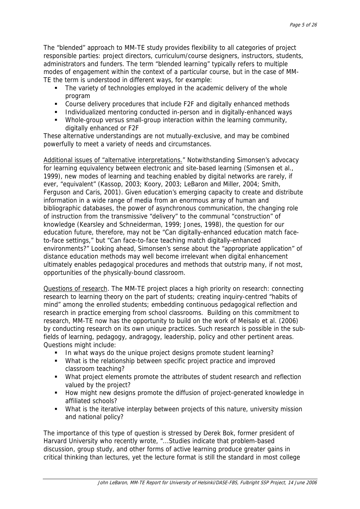The "blended" approach to MM-TE study provides flexibility to all categories of project responsible parties: project directors, curriculum/course designers, instructors, students, administrators and funders. The term "blended learning" typically refers to multiple modes of engagement within the context of a particular course, but in the case of MM-TE the term is understood in different ways, for example:

- The variety of technologies employed in the academic delivery of the whole program
- Course delivery procedures that include F2F and digitally enhanced methods
- **Individualized mentoring conducted in-person and in digitally-enhanced ways**
- Whole-group versus small-group interaction within the learning community, digitally enhanced or F2F

These alternative understandings are not mutually-exclusive, and may be combined powerfully to meet a variety of needs and circumstances.

Additional issues of "alternative interpretations." Notwithstanding Simonsen's advocacy for learning equivalency between electronic and site-based learning (Simonsen et al., 1999), new modes of learning and teaching enabled by digital networks are rarely, if ever, "equivalent" (Kassop, 2003; Koory, 2003; LeBaron and Miller, 2004; Smith, Ferguson and Caris, 2001). Given education's emerging capacity to create and distribute information in a wide range of media from an enormous array of human and bibliographic databases, the power of asynchronous communication, the changing role of instruction from the transmissive "delivery" to the communal "construction" of knowledge (Kearsley and Schneiderman, 1999; Jones, 1998), the question for our education future, therefore, may not be "Can digitally-enhanced education match faceto-face settings," but "Can face-to-face teaching match digitally-enhanced environments?" Looking ahead, Simonsen's sense about the "appropriate application" of distance education methods may well become irrelevant when digital enhancement ultimately enables pedagogical procedures and methods that outstrip many, if not most, opportunities of the physically-bound classroom.

Questions of research. The MM-TE project places a high priority on research: connecting research to learning theory on the part of students; creating inquiry-centred "habits of mind" among the enrolled students; embedding continuous pedagogical reflection and research in practice emerging from school classrooms. Building on this commitment to research, MM-TE now has the opportunity to build on the work of Meisalo et al. (2006) by conducting research on its own unique practices. Such research is possible in the subfields of learning, pedagogy, andragogy, leadership, policy and other pertinent areas. Questions might include:

- In what ways do the unique project designs promote student learning?
- What is the relationship between specific project practice and improved classroom teaching?
- What project elements promote the attributes of student research and reflection valued by the project?
- **How might new designs promote the diffusion of project-generated knowledge in** affiliated schools?
- What is the iterative interplay between projects of this nature, university mission and national policy?

The importance of this type of question is stressed by Derek Bok, former president of Harvard University who recently wrote, "...Studies indicate that problem-based discussion, group study, and other forms of active learning produce greater gains in critical thinking than lectures, yet the lecture format is still the standard in most college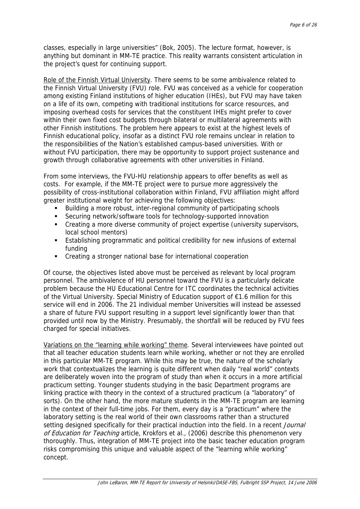classes, especially in large universities" (Bok, 2005). The lecture format, however, is anything but dominant in MM-TE practice. This reality warrants consistent articulation in the project's quest for continuing support.

Role of the Finnish Virtual University. There seems to be some ambivalence related to the Finnish Virtual University (FVU) role. FVU was conceived as a vehicle for cooperation among existing Finland institutions of higher education (IHEs), but FVU may have taken on a life of its own, competing with traditional institutions for scarce resources, and imposing overhead costs for services that the constituent IHEs might prefer to cover within their own fixed cost budgets through bilateral or multilateral agreements with other Finnish institutions. The problem here appears to exist at the highest levels of Finnish educational policy, insofar as a distinct FVU role remains unclear in relation to the responsibilities of the Nation's established campus-based universities. With or without FVU participation, there may be opportunity to support project sustenance and growth through collaborative agreements with other universities in Finland.

From some interviews, the FVU-HU relationship appears to offer benefits as well as costs. For example, if the MM-TE project were to pursue more aggressively the possibility of cross-institutional collaboration within Finland, FVU affiliation might afford greater institutional weight for achieving the following objectives:

- Building a more robust, inter-regional community of participating schools
- Securing network/software tools for technology-supported innovation
- **•** Creating a more diverse community of project expertise (university supervisors, local school mentors)
- Establishing programmatic and political credibility for new infusions of external funding
- Creating a stronger national base for international cooperation

Of course, the objectives listed above must be perceived as relevant by local program personnel. The ambivalence of HU personnel toward the FVU is a particularly delicate problem because the HU Educational Centre for ITC coordinates the technical activities of the Virtual University. Special Ministry of Education support of €1.6 million for this service will end in 2006. The 21 individual member Universities will instead be assessed a share of future FVU support resulting in a support level significantly lower than that provided until now by the Ministry. Presumably, the shortfall will be reduced by FVU fees charged for special initiatives.

Variations on the "learning while working" theme. Several interviewees have pointed out that all teacher education students learn while working, whether or not they are enrolled in this particular MM-TE program. While this may be true, the nature of the scholarly work that contextualizes the learning is quite different when daily "real world" contexts are deliberately woven into the program of study than when it occurs in a more artificial practicum setting. Younger students studying in the basic Department programs are linking practice with theory in the context of a structured practicum (a "laboratory" of sorts). On the other hand, the more mature students in the MM-TE program are learning in the context of their full-time jobs. For them, every day is a "practicum" where the laboratory setting is the real world of their own classrooms rather than a structured setting designed specifically for their practical induction into the field. In a recent Journal of Education for Teaching article, Krokfors et al., (2006) describe this phenomenon very thoroughly. Thus, integration of MM-TE project into the basic teacher education program risks compromising this unique and valuable aspect of the "learning while working" concept.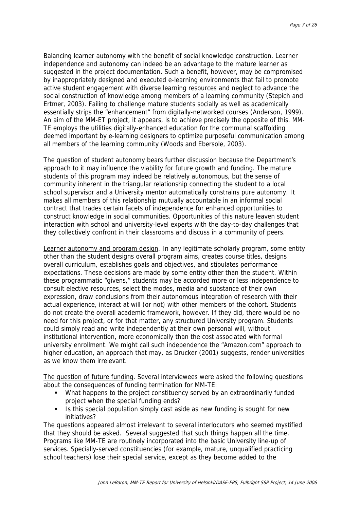Balancing learner autonomy with the benefit of social knowledge construction. Learner independence and autonomy can indeed be an advantage to the mature learner as suggested in the project documentation. Such a benefit, however, may be compromised by inappropriately designed and executed e-learning environments that fail to promote active student engagement with diverse learning resources and neglect to advance the social construction of knowledge among members of a learning community (Stepich and Ertmer, 2003). Failing to challenge mature students socially as well as academically essentially strips the "enhancement" from digitally-networked courses (Anderson, 1999). An aim of the MM-ET project, it appears, is to achieve precisely the opposite of this. MM-TE employs the utilities digitally-enhanced education for the communal scaffolding deemed important by e-learning designers to optimize purposeful communication among all members of the learning community (Woods and Ebersole, 2003).

The question of student autonomy bears further discussion because the Department's approach to it may influence the viability for future growth and funding. The mature students of this program may indeed be relatively autonomous, but the sense of community inherent in the triangular relationship connecting the student to a local school supervisor and a University mentor automatically constrains pure autonomy. It makes all members of this relationship mutually accountable in an informal social contract that trades certain facets of independence for enhanced opportunities to construct knowledge in social communities. Opportunities of this nature leaven student interaction with school and university-level experts with the day-to-day challenges that they collectively confront in their classrooms and discuss in a community of peers.

Learner autonomy and program design. In any legitimate scholarly program, some entity other than the student designs overall program aims, creates course titles, designs overall curriculum, establishes goals and objectives, and stipulates performance expectations. These decisions are made by some entity other than the student. Within these programmatic "givens," students may be accorded more or less independence to consult elective resources, select the modes, media and substance of their own expression, draw conclusions from their autonomous integration of research with their actual experience, interact at will (or not) with other members of the cohort. Students do not create the overall academic framework, however. If they did, there would be no need for this project, or for that matter, any structured University program. Students could simply read and write independently at their own personal will, without institutional intervention, more economically than the cost associated with formal university enrollment. We might call such independence the "Amazon.com" approach to higher education, an approach that may, as Drucker (2001) suggests, render universities as we know them irrelevant.

The question of future funding. Several interviewees were asked the following questions about the consequences of funding termination for MM-TE:

- What happens to the project constituency served by an extraordinarily funded project when the special funding ends?
- Is this special population simply cast aside as new funding is sought for new initiatives?

The questions appeared almost irrelevant to several interlocutors who seemed mystified that they should be asked. Several suggested that such things happen all the time. Programs like MM-TE are routinely incorporated into the basic University line-up of services. Specially-served constituencies (for example, mature, unqualified practicing school teachers) lose their special service, except as they become added to the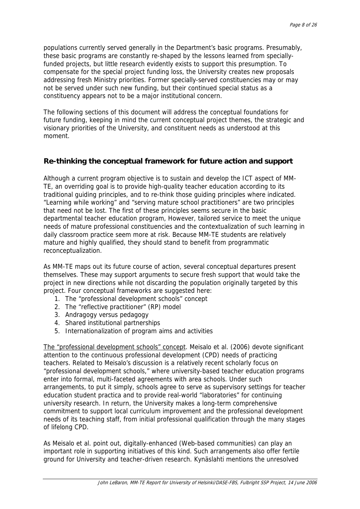populations currently served generally in the Department's basic programs. Presumably, these basic programs are constantly re-shaped by the lessons learned from speciallyfunded projects, but little research evidently exists to support this presumption. To compensate for the special project funding loss, the University creates new proposals addressing fresh Ministry priorities. Former specially-served constituencies may or may not be served under such new funding, but their continued special status as a constituency appears not to be a major institutional concern.

The following sections of this document will address the conceptual foundations for future funding, keeping in mind the current conceptual project themes, the strategic and visionary priorities of the University, and constituent needs as understood at this moment.

# **Re-thinking the conceptual framework for future action and support**

Although a current program objective is to sustain and develop the ICT aspect of MM-TE, an overriding goal is to provide high-quality teacher education according to its traditional guiding principles, and to re-think those guiding principles where indicated. "Learning while working" and "serving mature school practitioners" are two principles that need not be lost. The first of these principles seems secure in the basic departmental teacher education program, However, tailored service to meet the unique needs of mature professional constituencies and the contextualization of such learning in daily classroom practice seem more at risk. Because MM-TE students are relatively mature and highly qualified, they should stand to benefit from programmatic reconceptualization.

As MM-TE maps out its future course of action, several conceptual departures present themselves. These may support arguments to secure fresh support that would take the project in new directions while not discarding the population originally targeted by this project. Four conceptual frameworks are suggested here:

- 1. The "professional development schools" concept
- 2. The "reflective practitioner" (RP) model
- 3. Andragogy versus pedagogy
- 4. Shared institutional partnerships
- 5. Internationalization of program aims and activities

The "professional development schools" concept. Meisalo et al. (2006) devote significant attention to the continuous professional development (CPD) needs of practicing teachers. Related to Meisalo's discussion is a relatively recent scholarly focus on "professional development schools," where university-based teacher education programs enter into formal, multi-faceted agreements with area schools. Under such arrangements, to put it simply, schools agree to serve as supervisory settings for teacher education student practica and to provide real-world "laboratories" for continuing university research. In return, the University makes a long-term comprehensive commitment to support local curriculum improvement and the professional development needs of its teaching staff, from initial professional qualification through the many stages of lifelong CPD.

As Meisalo et al. point out, digitally-enhanced (Web-based communities) can play an important role in supporting initiatives of this kind. Such arrangements also offer fertile ground for University and teacher-driven research. Kynäslahti mentions the unresolved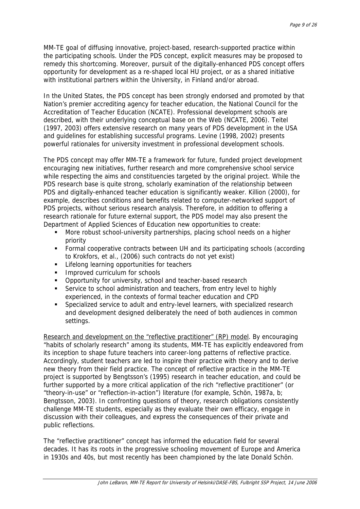MM-TE goal of diffusing innovative, project-based, research-supported practice within the participating schools. Under the PDS concept, explicit measures may be proposed to remedy this shortcoming. Moreover, pursuit of the digitally-enhanced PDS concept offers opportunity for development as a re-shaped local HU project, or as a shared initiative with institutional partners within the University, in Finland and/or abroad.

In the United States, the PDS concept has been strongly endorsed and promoted by that Nation's premier accrediting agency for teacher education, the National Council for the Accreditation of Teacher Education (NCATE). Professional development schools are described, with their underlying conceptual base on the Web (NCATE, 2006). Teitel (1997, 2003) offers extensive research on many years of PDS development in the USA and guidelines for establishing successful programs. Levine (1998, 2002) presents powerful rationales for university investment in professional development schools.

The PDS concept may offer MM-TE a framework for future, funded project development encouraging new initiatives, further research and more comprehensive school service while respecting the aims and constituencies targeted by the original project. While the PDS research base is quite strong, scholarly examination of the relationship between PDS and digitally-enhanced teacher education is significantly weaker. Killion (2000), for example, describes conditions and benefits related to computer-networked support of PDS projects, without serious research analysis. Therefore, in addition to offering a research rationale for future external support, the PDS model may also present the Department of Applied Sciences of Education new opportunities to create:

- More robust school-university partnerships, placing school needs on a higher priority
- Formal cooperative contracts between UH and its participating schools (according to Krokfors, et al., (2006) such contracts do not yet exist)
- **EXECTE:** Lifelong learning opportunities for teachers
- **IMPROVED CULLET** Improved curriculum for schools
- **•** Opportunity for university, school and teacher-based research
- Service to school administration and teachers, from entry level to highly experienced, in the contexts of formal teacher education and CPD
- Specialized service to adult and entry-level learners, with specialized research and development designed deliberately the need of both audiences in common settings.

Research and development on the "reflective practitioner" (RP) model. By encouraging "habits of scholarly research" among its students, MM-TE has explicitly endeavored from its inception to shape future teachers into career-long patterns of reflective practice. Accordingly, student teachers are led to inspire their practice with theory and to derive new theory from their field practice. The concept of reflective practice in the MM-TE project is supported by Bengtsson's (1995) research in teacher education, and could be further supported by a more critical application of the rich "reflective practitioner" (or "theory-in-use" or "reflection-in-action") literature (for example, Schön, 1987a, b; Bengtsson, 2003). In confronting questions of theory, research obligations consistently challenge MM-TE students, especially as they evaluate their own efficacy, engage in discussion with their colleagues, and express the consequences of their private and public reflections.

The "reflective practitioner" concept has informed the education field for several decades. It has its roots in the progressive schooling movement of Europe and America in 1930s and 40s, but most recently has been championed by the late Donald Schön.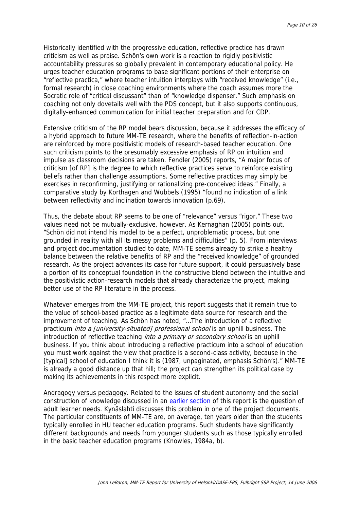Historically identified with the progressive education, reflective practice has drawn criticism as well as praise. Schön's own work is a reaction to rigidly positivistic accountability pressures so globally prevalent in contemporary educational policy. He urges teacher education programs to base significant portions of their enterprise on "reflective practica," where teacher intuition interplays with "received knowledge" (i.e., formal research) in close coaching environments where the coach assumes more the Socratic role of "critical discussant" than of "knowledge dispenser." Such emphasis on coaching not only dovetails well with the PDS concept, but it also supports continuous, digitally-enhanced communication for initial teacher preparation and for CDP.

Extensive criticism of the RP model bears discussion, because it addresses the efficacy of a hybrid approach to future MM-TE research, where the benefits of reflection-in-action are reinforced by more positivistic models of research-based teacher education. One such criticism points to the presumably excessive emphasis of RP on intuition and impulse as classroom decisions are taken. Fendler (2005) reports, "A major focus of criticism [of RP] is the degree to which reflective practices serve to reinforce existing beliefs rather than challenge assumptions. Some reflective practices may simply be exercises in reconfirming, justifying or rationalizing pre-conceived ideas." Finally, a comparative study by Korthagen and Wubbels (1995) "found no indication of a link between reflectivity and inclination towards innovation (p.69).

Thus, the debate about RP seems to be one of "relevance" versus "rigor." These two values need not be mutually-exclusive, however. As Kernaghan (2005) points out, "Schön did not intend his model to be a perfect, unproblematic process, but one grounded in reality with all its messy problems and difficulties" (p. 5). From interviews and project documentation studied to date, MM-TE seems already to strike a healthy balance between the relative benefits of RP and the "received knowledge" of grounded research. As the project advances its case for future support, it could persuasively base a portion of its conceptual foundation in the constructive blend between the intuitive and the positivistic action-research models that already characterize the project, making better use of the RP literature in the process.

Whatever emerges from the MM-TE project, this report suggests that it remain true to the value of school-based practice as a legitimate data source for research and the improvement of teaching. As Schön has noted, "…The introduction of a reflective practicum *into a [university-situated] professional school* is an uphill business. The introduction of reflective teaching *into a primary or secondary school* is an uphill business. If you think about introducing a reflective practicum into a school of education you must work against the view that practice is a second-class activity, because in the [typical] school of education I think it is (1987, unpaginated, emphasis Schön's)." MM-TE is already a good distance up that hill; the project can strengthen its political case by making its achievements in this respect more explicit.

Andragogy versus pedagogy. Related to the issues of student autonomy and the social construction of knowledge discussed in an [earlier section](#page-14-0) of this report is the question of adult learner needs. Kynäslahti discusses this problem in one of the project documents. The particular constituents of MM-TE are, on average, ten years older than the students typically enrolled in HU teacher education programs. Such students have significantly different backgrounds and needs from younger students such as those typically enrolled in the basic teacher education programs (Knowles, 1984a, b).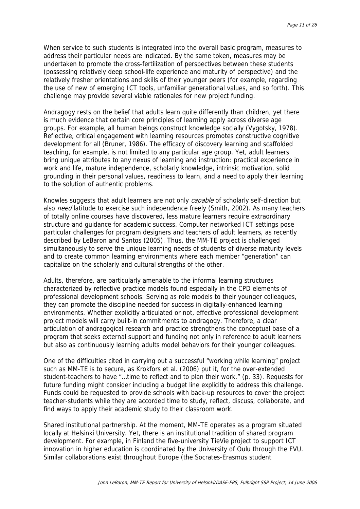When service to such students is integrated into the overall basic program, measures to address their particular needs are indicated. By the same token, measures may be undertaken to promote the cross-fertilization of perspectives between these students (possessing relatively deep school-life experience and maturity of perspective) and the relatively fresher orientations and skills of their younger peers (for example, regarding the use of new of emerging ICT tools, unfamiliar generational values, and so forth). This challenge may provide several viable rationales for new project funding.

Andragogy rests on the belief that adults learn quite differently than children, yet there is much evidence that certain core principles of learning apply across diverse age groups. For example, all human beings construct knowledge socially (Vygotsky, 1978). Reflective, critical engagement with learning resources promotes constructive cognitive development for all (Bruner, 1986). The efficacy of discovery learning and scaffolded teaching, for example, is not limited to any particular age group. Yet, adult learners bring unique attributes to any nexus of learning and instruction: practical experience in work and life, mature independence, scholarly knowledge, intrinsic motivation, solid grounding in their personal values, readiness to learn, and a need to apply their learning to the solution of authentic problems.

Knowles suggests that adult learners are not only capable of scholarly self-direction but also *need* latitude to exercise such independence freely (Smith, 2002). As many teachers of totally online courses have discovered, less mature learners require extraordinary structure and guidance for academic success. Computer networked ICT settings pose particular challenges for program designers and teachers of adult learners, as recently described by LeBaron and Santos (2005). Thus, the MM-TE project is challenged simultaneously to serve the unique learning needs of students of diverse maturity levels and to create common learning environments where each member "generation" can capitalize on the scholarly and cultural strengths of the other.

Adults, therefore, are particularly amenable to the informal learning structures characterized by reflective practice models found especially in the CPD elements of professional development schools. Serving as role models to their younger colleagues, they can promote the discipline needed for success in digitally-enhanced learning environments. Whether explicitly articulated or not, effective professional development project models will carry built-in commitments to andragogy. Therefore, a clear articulation of andragogical research and practice strengthens the conceptual base of a program that seeks external support and funding not only in reference to adult learners but also as continuously learning adults model behaviors for their younger colleagues.

One of the difficulties cited in carrying out a successful "working while learning" project such as MM-TE is to secure, as Krokfors et al. (2006) put it, for the over-extended student-teachers to have "…time to reflect and to plan their work." (p. 33). Requests for future funding might consider including a budget line explicitly to address this challenge. Funds could be requested to provide schools with back-up resources to cover the project teacher-students while they are accorded time to study, reflect, discuss, collaborate, and find ways to apply their academic study to their classroom work.

Shared institutional partnership. At the moment, MM-TE operates as a program situated locally at Helsinki University. Yet, there is an institutional tradition of shared program development. For example, in Finland the five-university TieVie project to support ICT innovation in higher education is coordinated by the University of Oulu through the FVU. Similar collaborations exist throughout Europe (the Socrates-Erasmus student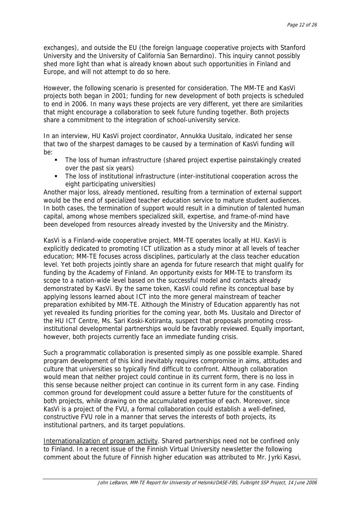exchanges), and outside the EU (the foreign language cooperative projects with Stanford University and the University of California San Bernardino). This inquiry cannot possibly shed more light than what is already known about such opportunities in Finland and Europe, and will not attempt to do so here.

However, the following scenario is presented for consideration. The MM-TE and KasVi projects both began in 2001; funding for new development of both projects is scheduled to end in 2006. In many ways these projects are very different, yet there are similarities that might encourage a collaboration to seek future funding together. Both projects share a commitment to the integration of school-university service.

In an interview, HU KasVi project coordinator, Annukka Uusitalo, indicated her sense that two of the sharpest damages to be caused by a termination of KasVi funding will be:

- The loss of human infrastructure (shared project expertise painstakingly created over the past six years)
- The loss of institutional infrastructure (inter-institutional cooperation across the eight participating universities)

Another major loss, already mentioned, resulting from a termination of external support would be the end of specialized teacher education service to mature student audiences. In both cases, the termination of support would result in a diminution of talented human capital, among whose members specialized skill, expertise, and frame-of-mind have been developed from resources already invested by the University and the Ministry.

KasVi is a Finland-wide cooperative project. MM-TE operates locally at HU. KasVi is explicitly dedicated to promoting ICT utilization as a study minor at all levels of teacher education; MM-TE focuses across disciplines, particularly at the class teacher education level. Yet both projects jointly share an agenda for future research that might qualify for funding by the Academy of Finland. An opportunity exists for MM-TE to transform its scope to a nation-wide level based on the successful model and contacts already demonstrated by KasVi. By the same token, KasVi could refine its conceptual base by applying lessons learned about ICT into the more general mainstream of teacher preparation exhibited by MM-TE. Although the Ministry of Education apparently has not yet revealed its funding priorities for the coming year, both Ms. Uusitalo and Director of the HU ICT Centre, Ms. Sari Koski-Kotiranta, suspect that proposals promoting crossinstitutional developmental partnerships would be favorably reviewed. Equally important, however, both projects currently face an immediate funding crisis.

Such a programmatic collaboration is presented simply as one possible example. Shared program development of this kind inevitably requires compromise in aims, attitudes and culture that universities so typically find difficult to confront. Although collaboration would mean that neither project could continue in its current form, there is no loss in this sense because neither project can continue in its current form in any case. Finding common ground for development could assure a better future for the constituents of both projects, while drawing on the accumulated expertise of each. Moreover, since KasVi is a project of the FVU, a formal collaboration could establish a well-defined, constructive FVU role in a manner that serves the interests of both projects, its institutional partners, and its target populations.

Internationalization of program activity. Shared partnerships need not be confined only to Finland. In a recent issue of the Finnish Virtual University newsletter the following comment about the future of Finnish higher education was attributed to Mr. Jyrki Kasvi,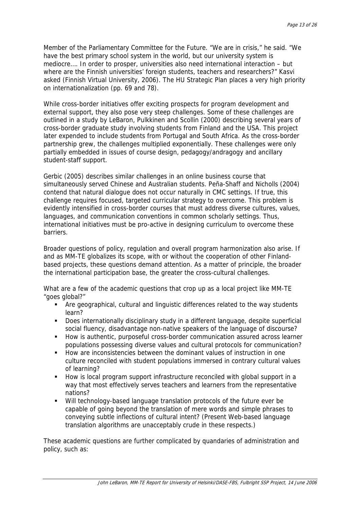Member of the Parliamentary Committee for the Future. "We are in crisis," he said. "We have the best primary school system in the world, but our university system is mediocre…. In order to prosper, universities also need international interaction – but where are the Finnish universities' foreign students, teachers and researchers?" Kasvi asked (Finnish Virtual University, 2006). The HU Strategic Plan places a very high priority on internationalization (pp. 69 and 78).

While cross-border initiatives offer exciting prospects for program development and external support, they also pose very steep challenges. Some of these challenges are outlined in a study by LeBaron, Pulkkinen and Scollin (2000) describing several years of cross-border graduate study involving students from Finland and the USA. This project later expended to include students from Portugal and South Africa. As the cross-border partnership grew, the challenges multiplied exponentially. These challenges were only partially embedded in issues of course design, pedagogy/andragogy and ancillary student-staff support.

Gerbic (2005) describes similar challenges in an online business course that simultaneously served Chinese and Australian students. Peña-Shaff and Nicholls (2004) contend that natural dialogue does not occur naturally in CMC settings. If true, this challenge requires focused, targeted curricular strategy to overcome. This problem is evidently intensified in cross-border courses that must address diverse cultures, values, languages, and communication conventions in common scholarly settings. Thus, international initiatives must be pro-active in designing curriculum to overcome these barriers.

Broader questions of policy, regulation and overall program harmonization also arise. If and as MM-TE globalizes its scope, with or without the cooperation of other Finlandbased projects, these questions demand attention. As a matter of principle, the broader the international participation base, the greater the cross-cultural challenges.

What are a few of the academic questions that crop up as a local project like MM-TE "goes global?"

- Are geographical, cultural and linguistic differences related to the way students learn?
- Does internationally disciplinary study in a different language, despite superficial social fluency, disadvantage non-native speakers of the language of discourse?
- How is authentic, purposeful cross-border communication assured across learner populations possessing diverse values and cultural protocols for communication?
- How are inconsistencies between the dominant values of instruction in one culture reconciled with student populations immersed in contrary cultural values of learning?
- How is local program support infrastructure reconciled with global support in a way that most effectively serves teachers and learners from the representative nations?
- Will technology-based language translation protocols of the future ever be capable of going beyond the translation of mere words and simple phrases to conveying subtle inflections of cultural intent? (Present Web-based language translation algorithms are unacceptably crude in these respects.)

These academic questions are further complicated by quandaries of administration and policy, such as: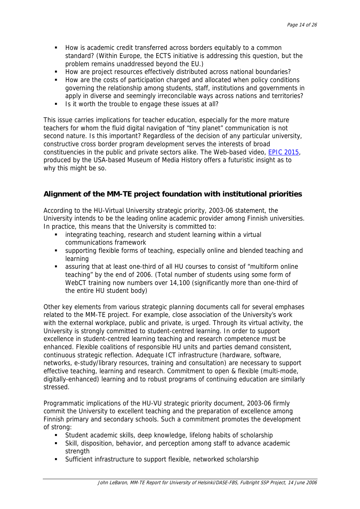- <span id="page-14-0"></span> How is academic credit transferred across borders equitably to a common standard? (Within Europe, the ECTS initiative is addressing this question, but the problem remains unaddressed beyond the EU.)
- How are project resources effectively distributed across national boundaries?
- How are the costs of participation charged and allocated when policy conditions governing the relationship among students, staff, institutions and governments in apply in diverse and seemingly irreconcilable ways across nations and territories?
- Is it worth the trouble to engage these issues at all?

This issue carries implications for teacher education, especially for the more mature teachers for whom the fluid digital navigation of "tiny planet" communication is not second nature. Is this important? Regardless of the decision of any particular university, constructive cross border program development serves the interests of broad constituencies in the public and private sectors alike. The Web-based video, [EPIC 2015](http://epic.makingithappen.co.uk/new-masterfs1.html), produced by the USA-based Museum of Media History offers a futuristic insight as to why this might be so.

# **Alignment of the MM-TE project foundation with institutional priorities**

According to the HU-Virtual University strategic priority, 2003-06 statement, the University intends to be the leading online academic provider among Finnish universities. In practice, this means that the University is committed to:

- **EXECTE integrating teaching, research and student learning within a virtual** communications framework
- supporting flexible forms of teaching, especially online and blended teaching and learning
- assuring that at least one-third of all HU courses to consist of "multiform online teaching" by the end of 2006. (Total number of students using some form of WebCT training now numbers over 14,100 (significantly more than one-third of the entire HU student body)

Other key elements from various strategic planning documents call for several emphases related to the MM-TE project. For example, close association of the University's work with the external workplace, public and private, is urged. Through its virtual activity, the University is strongly committed to student-centred learning. In order to support excellence in student-centred learning teaching and research competence must be enhanced. Flexible coalitions of responsible HU units and parties demand consistent, continuous strategic reflection. Adequate ICT infrastructure (hardware, software, networks, e-study/library resources, training and consultation) are necessary to support effective teaching, learning and research. Commitment to open & flexible (multi-mode, digitally-enhanced) learning and to robust programs of continuing education are similarly stressed.

Programmatic implications of the HU-VU strategic priority document, 2003-06 firmly commit the University to excellent teaching and the preparation of excellence among Finnish primary and secondary schools. Such a commitment promotes the development of strong:

- Student academic skills, deep knowledge, lifelong habits of scholarship
- Skill, disposition, behavior, and perception among staff to advance academic strength
- Sufficient infrastructure to support flexible, networked scholarship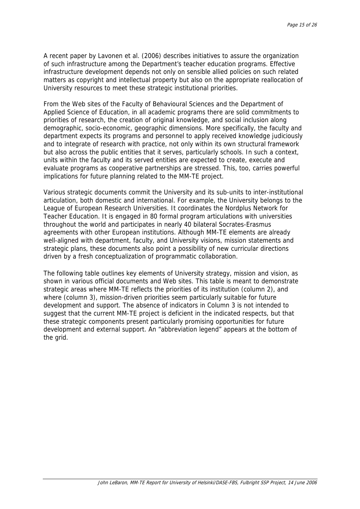A recent paper by Lavonen et al. (2006) describes initiatives to assure the organization of such infrastructure among the Department's teacher education programs. Effective infrastructure development depends not only on sensible allied policies on such related matters as copyright and intellectual property but also on the appropriate reallocation of University resources to meet these strategic institutional priorities.

From the Web sites of the Faculty of Behavioural Sciences and the Department of Applied Science of Education, in all academic programs there are solid commitments to priorities of research, the creation of original knowledge, and social inclusion along demographic, socio-economic, geographic dimensions. More specifically, the faculty and department expects its programs and personnel to apply received knowledge judiciously and to integrate of research with practice, not only within its own structural framework but also across the public entities that it serves, particularly schools. In such a context, units within the faculty and its served entities are expected to create, execute and evaluate programs as cooperative partnerships are stressed. This, too, carries powerful implications for future planning related to the MM-TE project.

Various strategic documents commit the University and its sub-units to inter-institutional articulation, both domestic and international. For example, the University belongs to the League of European Research Universities. It coordinates the Nordplus Network for Teacher Education. It is engaged in 80 formal program articulations with universities throughout the world and participates in nearly 40 bilateral Socrates-Erasmus agreements with other European institutions. Although MM-TE elements are already well-aligned with department, faculty, and University visions, mission statements and strategic plans, these documents also point a possibility of new curricular directions driven by a fresh conceptualization of programmatic collaboration.

The following table outlines key elements of University strategy, mission and vision, as shown in various official documents and Web sites. This table is meant to demonstrate strategic areas where MM-TE reflects the priorities of its institution (column 2), and where (column 3), mission-driven priorities seem particularly suitable for future development and support. The absence of indicators in Column 3 is not intended to suggest that the current MM-TE project is deficient in the indicated respects, but that these strategic components present particularly promising opportunities for future development and external support. An "abbreviation legend" appears at the bottom of the grid.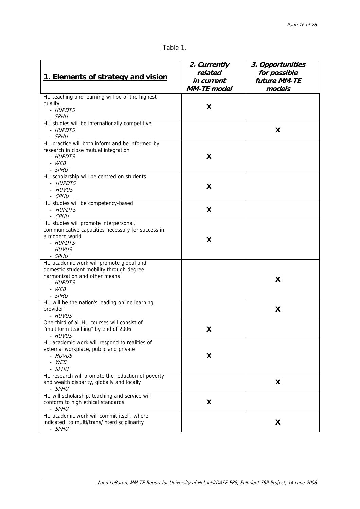| г. | ، ا |  |
|----|-----|--|
|    |     |  |

| 1. Elements of strategy and vision                       | 2. Currently<br>related<br>in current<br><b>MM-TE</b> model | 3. Opportunities<br>for possible<br>future MM-TE<br>models |
|----------------------------------------------------------|-------------------------------------------------------------|------------------------------------------------------------|
| HU teaching and learning will be of the highest          |                                                             |                                                            |
| quality                                                  | X                                                           |                                                            |
| - HUPDTS                                                 |                                                             |                                                            |
| - SPHU<br>HU studies will be internationally competitive |                                                             |                                                            |
| - HUPDTS                                                 |                                                             | X                                                          |
| - SPHU                                                   |                                                             |                                                            |
| HU practice will both inform and be informed by          |                                                             |                                                            |
| research in close mutual integration                     |                                                             |                                                            |
| - HUPDTS                                                 | X                                                           |                                                            |
| - WEB                                                    |                                                             |                                                            |
| - SPHU                                                   |                                                             |                                                            |
| HU scholarship will be centred on students               |                                                             |                                                            |
| - HUPDTS                                                 | X                                                           |                                                            |
| - HUVUS                                                  |                                                             |                                                            |
| - SPHU<br>HU studies will be competency-based            |                                                             |                                                            |
| - HUPDTS                                                 | X                                                           |                                                            |
| - SPHU                                                   |                                                             |                                                            |
| HU studies will promote interpersonal,                   |                                                             |                                                            |
| communicative capacities necessary for success in        |                                                             |                                                            |
| a modern world                                           |                                                             |                                                            |
| - HUPDTS                                                 | X                                                           |                                                            |
| - HUVUS                                                  |                                                             |                                                            |
| - SPHU                                                   |                                                             |                                                            |
| HU academic work will promote global and                 |                                                             |                                                            |
| domestic student mobility through degree                 |                                                             |                                                            |
| harmonization and other means<br>- HUPDTS                |                                                             | X                                                          |
| $-WEB$                                                   |                                                             |                                                            |
| - SPHU                                                   |                                                             |                                                            |
| HU will be the nation's leading online learning          |                                                             |                                                            |
| provider                                                 |                                                             | X                                                          |
| - HUVUS                                                  |                                                             |                                                            |
| One-third of all HU courses will consist of              |                                                             |                                                            |
| "multiform teaching" by end of 2006                      | X                                                           |                                                            |
| - HUVUS                                                  |                                                             |                                                            |
| HU academic work will respond to realities of            |                                                             |                                                            |
| external workplace, public and private                   |                                                             |                                                            |
| - HUVUS<br>$-WEB$                                        | X                                                           |                                                            |
| - SPHU                                                   |                                                             |                                                            |
| HU research will promote the reduction of poverty        |                                                             |                                                            |
| and wealth disparity, globally and locally               |                                                             | X                                                          |
| - SPHU                                                   |                                                             |                                                            |
| HU will scholarship, teaching and service will           |                                                             |                                                            |
| conform to high ethical standards                        | X                                                           |                                                            |
| - SPHU                                                   |                                                             |                                                            |
| HU academic work will commit itself, where               |                                                             |                                                            |
| indicated, to multi/trans/interdisciplinarity            |                                                             | X                                                          |
| - SPHU                                                   |                                                             |                                                            |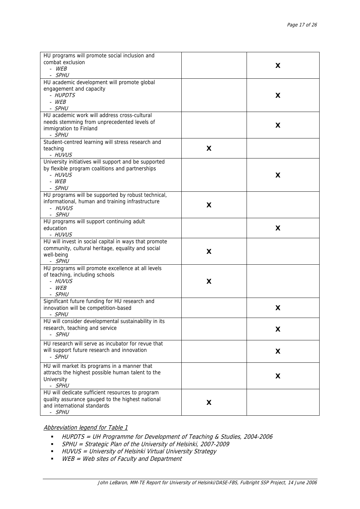| HU programs will promote social inclusion and<br>combat exclusion<br>- WFR<br>- SPHU                                                          |   | X |
|-----------------------------------------------------------------------------------------------------------------------------------------------|---|---|
| HU academic development will promote global<br>engagement and capacity<br>- HUPDTS<br>$-WEB$<br>- SPHU                                        |   | X |
| HU academic work will address cross-cultural<br>needs stemming from unprecedented levels of<br>immigration to Finland<br>- SPHU               |   | X |
| Student-centred learning will stress research and<br>teaching<br>- HUVUS                                                                      | X |   |
| University initiatives will support and be supported<br>by flexible program coalitions and partnerships<br>- HUVUS<br>$-WEB$<br>- SPHU        |   | X |
| HU programs will be supported by robust technical,<br>informational, human and training infrastructure<br>- HUVUS<br>- SPHU                   | X |   |
| HU programs will support continuing adult<br>education<br>- HUVUS                                                                             |   | X |
| HU will invest in social capital in ways that promote<br>community, cultural heritage, equality and social<br>well-being<br>- SPHU            | X |   |
| HU programs will promote excellence at all levels<br>of teaching, including schools<br>- HUVUS<br>$-WEB$<br>- SPHU                            | X |   |
| Significant future funding for HU research and<br>innovation will be competition-based<br>- SPHU                                              |   | X |
| HU will consider developmental sustainability in its<br>research, teaching and service<br>- SPHU                                              |   | X |
| HU research will serve as incubator for revue that<br>will support future research and innovation<br>- SPHU                                   |   | X |
| HU will market its programs in a manner that<br>attracts the highest possible human talent to the<br>University<br>- SPHU                     |   | X |
| HU will dedicate sufficient resources to program<br>quality assurance gauged to the highest national<br>and international standards<br>- SPHU | X |   |

#### Abbreviation legend for Table 1

- HUPDTS = UH Programme for Development of Teaching & Studies, 2004-2006
- SPHU = Strategic Plan of the University of Helsinki, 2007-2009
- **-** HUVUS = University of Helsinki Virtual University Strategy
- **WEB** = Web sites of Faculty and Department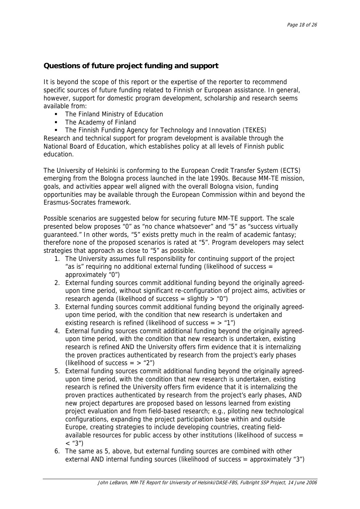# **Questions of future project funding and support**

It is beyond the scope of this report or the expertise of the reporter to recommend specific sources of future funding related to Finnish or European assistance. In general, however, support for domestic program development, scholarship and research seems available from:

- The Finland Ministry of Education
- The Academy of Finland

 The Finnish Funding Agency for Technology and Innovation (TEKES) Research and technical support for program development is available through the National Board of Education, which establishes policy at all levels of Finnish public education.

The University of Helsinki is conforming to the European Credit Transfer System (ECTS) emerging from the Bologna process launched in the late 1990s. Because MM-TE mission, goals, and activities appear well aligned with the overall Bologna vision, funding opportunities may be available through the European Commission within and beyond the Erasmus-Socrates framework.

Possible scenarios are suggested below for securing future MM-TE support. The scale presented below proposes "0" as "no chance whatsoever" and "5" as "success virtually guaranteed." In other words, "5" exists pretty much in the realm of academic fantasy; therefore none of the proposed scenarios is rated at "5". Program developers may select strategies that approach as close to "5" as possible.

- 1. The University assumes full responsibility for continuing support of the project "as is" requiring no additional external funding (likelihood of success = approximately "0")
- 2. External funding sources commit additional funding beyond the originally agreedupon time period, without significant re-configuration of project aims, activities or research agenda (likelihood of success = slightly  $>$  "0")
- 3. External funding sources commit additional funding beyond the originally agreedupon time period, with the condition that new research is undertaken and existing research is refined (likelihood of success  $=$   $>$  "1")
- 4. External funding sources commit additional funding beyond the originally agreedupon time period, with the condition that new research is undertaken, existing research is refined AND the University offers firm evidence that it is internalizing the proven practices authenticated by research from the project's early phases (likelihood of success  $=$   $>$  "2")
- 5. External funding sources commit additional funding beyond the originally agreedupon time period, with the condition that new research is undertaken, existing research is refined the University offers firm evidence that it is internalizing the proven practices authenticated by research from the project's early phases, AND new project departures are proposed based on lessons learned from existing project evaluation and from field-based research; e.g., piloting new technological configurations, expanding the project participation base within and outside Europe, creating strategies to include developing countries, creating fieldavailable resources for public access by other institutions (likelihood of success =  $\langle$  "3")
- 6. The same as 5, above, but external funding sources are combined with other external AND internal funding sources (likelihood of success = approximately "3")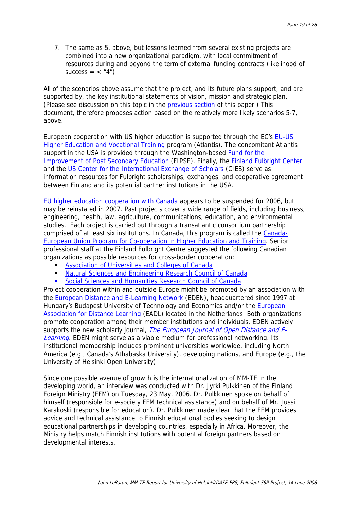7. The same as 5, above, but lessons learned from several existing projects are combined into a new organizational paradigm, with local commitment of resources during and beyond the term of external funding contracts (likelihood of success  $=$  < "4")

All of the scenarios above assume that the project, and its future plans support, and are supported by, the key institutional statements of vision, mission and strategic plan. (Please see discussion on this topic in the [previous section](#page-14-0) of this paper.) This document, therefore proposes action based on the relatively more likely scenarios 5-7, above.

European cooperation with US higher education is supported through the EC's [EU-US](http://ec.europa.eu/education/programmes/eu-usa/index_en.html)  [Higher Education and Vocational Training](http://ec.europa.eu/education/programmes/eu-usa/index_en.html) program (Atlantis). The concomitant Atlantis support in the USA is provided through the Washington-based Fund for the [Improvement of Post Secondary Education](http://www.ed.gov/programs/fipseec/index.html) (FIPSE). Finally, the [Finland Fulbright Center](http://www.fulbright.fi/) and the [US Center for the International Exchange of Scholars](http://www.cies.org/) (CIES) serve as information resources for Fulbright scholarships, exchanges, and cooperative agreement between Finland and its potential partner institutions in the USA.

[EU higher education cooperation with Canada](http://ec.europa.eu/education/programmes/eu-canada/call_en.html) appears to be suspended for 2006, but may be reinstated in 2007. Past projects cover a wide range of fields, including business, engineering, health, law, agriculture, communications, education, and environmental studies. Each project is carried out through a transatlantic consortium partnership comprised of at least six institutions. In Canada, this program is called the [Canada-](http://www.hrsdc.gc.ca/en/hip/lld/lssd/iam/european/purpose.shtml)[European Union Program for Co-operation in Higher Education and Training](http://www.hrsdc.gc.ca/en/hip/lld/lssd/iam/european/purpose.shtml). Senior professional staff at the Finland Fulbright Centre suggested the following Canadian organizations as possible resources for cross-border cooperation:

- [Association of Universities and Colleges of Canada](http://www.aucc.ca/index_e.html)
- [Natural Sciences and Engineering Research Council of Canada](http://www.nserc.ca/)
- [Social Sciences and Humanities Research Council of Canada](http://www.sshrc.ca/)

Project cooperation within and outside Europe might be promoted by an association with the [European Distance and E-Learning Network](http://www.eden-online.org/eden.php) (EDEN), headquartered since 1997 at Hungary's Budapest University of Technology and Economics and/or the **European** [Association for Distance Learning](http://www.eadl.org/) (EADL) located in the Netherlands. Both organizations promote cooperation among their member institutions and individuals. EDEN actively supports the new scholarly journal, [The European Journal of Open Distance and E](http://www.eurodl.org/)-[Learning](http://www.eurodl.org/). EDEN might serve as a viable medium for professional networking. Its institutional membership includes prominent universities worldwide, including North America (e.g., Canada's Athabaska University), developing nations, and Europe (e.g., the University of Helsinki Open University).

Since one possible avenue of growth is the internationalization of MM-TE in the developing world, an interview was conducted with Dr. Jyrki Pulkkinen of the Finland Foreign Ministry (FFM) on Tuesday, 23 May, 2006. Dr. Pulkkinen spoke on behalf of himself (responsible for e-society FFM technical assistance) and on behalf of Mr. Jussi Karakoski (responsible for education). Dr. Pulkkinen made clear that the FFM provides advice and technical assistance to Finnish educational bodies seeking to design educational partnerships in developing countries, especially in Africa. Moreover, the Ministry helps match Finnish institutions with potential foreign partners based on developmental interests.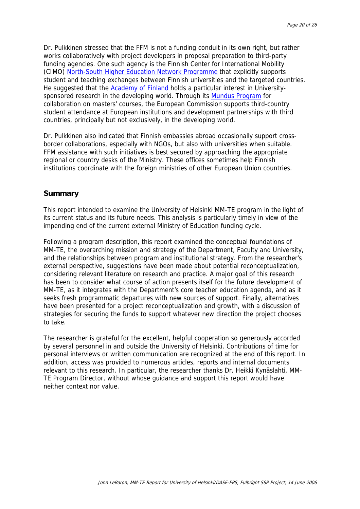Dr. Pulkkinen stressed that the FFM is not a funding conduit in its own right, but rather works collaboratively with project developers in proposal preparation to third-party funding agencies. One such agency is the Finnish Center for International Mobility (CIMO) [North-South Higher Education Network Programme](http://www.cimo.fi/Resource.phx/cimo/services/northsouth.htx) that explicitly supports student and teaching exchanges between Finnish universities and the targeted countries. He suggested that the [Academy of Finland](http://www.aka.fi/index.asp?id=eb9a8e15a46244d989ac56c132e8d13a) holds a particular interest in Universitysponsored research in the developing world. Through its [Mundus Program](http://ec.europa.eu/education/programmes/mundus/index_en.html) for collaboration on masters' courses, the European Commission supports third-country student attendance at European institutions and development partnerships with third countries, principally but not exclusively, in the developing world.

Dr. Pulkkinen also indicated that Finnish embassies abroad occasionally support crossborder collaborations, especially with NGOs, but also with universities when suitable. FFM assistance with such initiatives is best secured by approaching the appropriate regional or country desks of the Ministry. These offices sometimes help Finnish institutions coordinate with the foreign ministries of other European Union countries.

### **Summary**

This report intended to examine the University of Helsinki MM-TE program in the light of its current status and its future needs. This analysis is particularly timely in view of the impending end of the current external Ministry of Education funding cycle.

Following a program description, this report examined the conceptual foundations of MM-TE, the overarching mission and strategy of the Department, Faculty and University, and the relationships between program and institutional strategy. From the researcher's external perspective, suggestions have been made about potential reconceptualization, considering relevant literature on research and practice. A major goal of this research has been to consider what course of action presents itself for the future development of MM-TE, as it integrates with the Department's core teacher education agenda, and as it seeks fresh programmatic departures with new sources of support. Finally, alternatives have been presented for a project reconceptualization and growth, with a discussion of strategies for securing the funds to support whatever new direction the project chooses to take.

The researcher is grateful for the excellent, helpful cooperation so generously accorded by several personnel in and outside the University of Helsinki. Contributions of time for personal interviews or written communication are recognized at the end of this report. In addition, access was provided to numerous articles, reports and internal documents relevant to this research. In particular, the researcher thanks Dr. Heikki Kynäslahti, MM-TE Program Director, without whose guidance and support this report would have neither context nor value.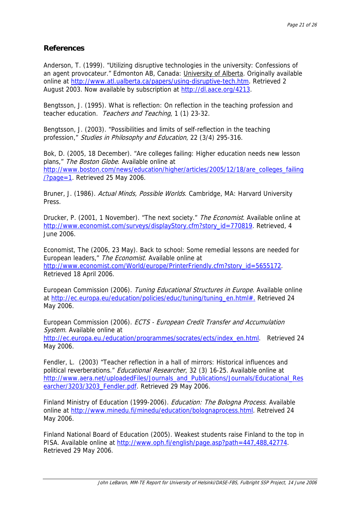## **References**

Anderson, T. (1999). "Utilizing disruptive technologies in the university: Confessions of an agent provocateur." Edmonton AB, Canada: University of Alberta. Originally available online at<http://www.atl.ualberta.ca/papers/using-disruptive-tech.htm>. Retrieved 2 August 2003. Now available by subscription at <http://dl.aace.org/4213>.

Bengtsson, J. (1995). What is reflection: On reflection in the teaching profession and teacher education. Teachers and Teaching, 1 (1) 23-32.

Bengtsson, J. (2003). "Possibilities and limits of self-reflection in the teaching profession," Studies in Philosophy and Education, 22 (3/4) 295-316.

Bok, D. (2005, 18 December). "Are colleges failing: Higher education needs new lesson plans," The Boston Globe. Available online at [http://www.boston.com/news/education/higher/articles/2005/12/18/are\\_colleges\\_failing](http://www.boston.com/news/education/higher/articles/2005/12/18/are_colleges_failing/?page=1) [/?page=1](http://www.boston.com/news/education/higher/articles/2005/12/18/are_colleges_failing/?page=1). Retrieved 25 May 2006.

Bruner, J. (1986). Actual Minds, Possible Worlds. Cambridge, MA: Harvard University Press.

Drucker, P. (2001, 1 November). "The next society." The Economist. Available online at [http://www.economist.com/surveys/displayStory.cfm?story\\_id=770819](http://www.economist.com/surveys/displayStory.cfm?story_id=770819). Retrieved, 4 June 2006.

Economist, The (2006, 23 May). Back to school: Some remedial lessons are needed for European leaders," The Economist. Available online at [http://www.economist.com/World/europe/PrinterFriendly.cfm?story\\_id=5655172.](http://www.economist.com/World/europe/PrinterFriendly.cfm?story_id=5655172) Retrieved 18 April 2006.

European Commission (2006). Tuning Educational Structures in Europe. Available online at http://ec.europa.eu/education/policies/educ/tuning/tuning\_en.html#. Retrieved 24 May 2006.

European Commission (2006). ECTS - European Credit Transfer and Accumulation System. Available online at [http://ec.europa.eu./education/programmes/socrates/ects/index\\_en.html.](http://ec.europa.eu./education/programmes/socrates/ects/index_en.html) Retrieved 24 May 2006.

Fendler, L. (2003) "Teacher reflection in a hall of mirrors: Historical influences and political reverberations." Educational Researcher, 32 (3) 16-25. Available online at [http://www.aera.net/uploadedFiles/Journals\\_and\\_Publications/Journals/Educational\\_Res](http://www.aera.net/uploadedFiles/Journals_and_Publications/Journals/Educational_Researcher/3203/3203_Fendler.pdf) [earcher/3203/3203\\_Fendler.pdf.](http://www.aera.net/uploadedFiles/Journals_and_Publications/Journals/Educational_Researcher/3203/3203_Fendler.pdf) Retrieved 29 May 2006.

Finland Ministry of Education (1999-2006). *Education: The Bologna Process*. Available online at<http://www.minedu.fi/minedu/education/bolognaprocess.html>. Retreived 24 May 2006.

Finland National Board of Education (2005). Weakest students raise Finland to the top in PISA. Available online at [http://www.oph.fi/english/page.asp?path=447,488,42774.](http://www.oph.fi/english/page.asp?path=447,488,42774) Retrieved 29 May 2006.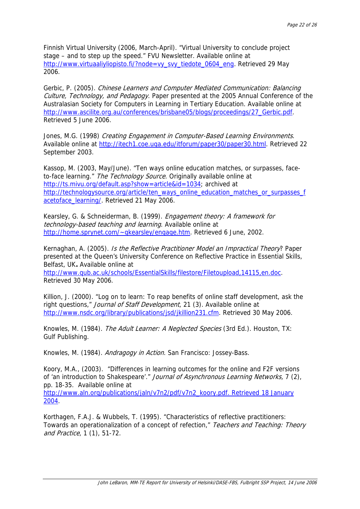Finnish Virtual University (2006, March-April). "Virtual University to conclude project stage – and to step up the speed." FVU Newsletter. Available online at [http://www.virtuaaliyliopisto.fi/?node=vy\\_svy\\_tiedote\\_0604\\_eng.](http://www.virtuaaliyliopisto.fi/?node=vy_svy_tiedote_0604_eng) Retrieved 29 May 2006.

Gerbic, P. (2005). Chinese Learners and Computer Mediated Communication: Balancing Culture, Technology, and Pedagogy. Paper presented at the 2005 Annual Conference of the Australasian Society for Computers in Learning in Tertiary Education. Available online at [http://www.ascilite.org.au/conferences/brisbane05/blogs/proceedings/27\\_Gerbic.pdf](http://www.ascilite.org.au/conferences/brisbane05/blogs/proceedings/27_Gerbic.pdf). Retrieved 5 June 2006.

Jones, M.G. (1998) Creating Engagement in Computer-Based Learning Environments. Available online at [http://itech1.coe.uga.edu/itforum/paper30/paper30.html.](http://itech1.coe.uga.edu/itforum/paper30/paper30.html) Retrieved 22 September 2003.

Kassop, M. (2003, May/June). "Ten ways online education matches, or surpasses, faceto-face learning." The Technology Source. Originally available online at [http://ts.mivu.org/default.asp?show=article&id=1034;](http://ts.mivu.org/default.asp?show=article&id=1034) archived at [http://technologysource.org/article/ten\\_ways\\_online\\_education\\_matches\\_or\\_surpasses\\_f](http://technologysource.org/article/ten_ways_online_education_matches_or_surpasses_facetoface_learning/) [acetoface\\_learning/](http://technologysource.org/article/ten_ways_online_education_matches_or_surpasses_facetoface_learning/). Retrieved 21 May 2006.

Kearsley, G. & Schneiderman, B. (1999). Engagement theory: A framework for technology-based teaching and learning. Available online at <http://home.sprynet.com/~gkearsley/engage.htm>. Retrieved 6 June, 2002.

Kernaghan, A. (2005). Is the Reflective Practitioner Model an Impractical Theory? Paper presented at the Queen's University Conference on Reflective Practice in Essential Skills, Belfast, UK**.** Available online at

<http://www.qub.ac.uk/schools/EssentialSkills/filestore/Filetoupload,14115,en.doc>. Retrieved 30 May 2006.

Killion, J. (2000). "Log on to learn: To reap benefits of online staff development, ask the right questions," Journal of Staff Development, 21 (3). Available online at [http://www.nsdc.org/library/publications/jsd/jkillion231.cfm.](http://www.nsdc.org/library/publications/jsd/jkillion231.cfm) Retrieved 30 May 2006.

Knowles, M. (1984). The Adult Learner: A Neglected Species (3rd Ed.). Houston, TX: Gulf Publishing.

Knowles, M. (1984). Andragogy in Action. San Francisco: Jossey-Bass.

Koory, M.A., (2003). "Differences in learning outcomes for the online and F2F versions of 'an introduction to Shakespeare'." Journal of Asynchronous Learning Networks, 7 (2), pp. 18-35. Available online at

[http://www.aln.org/publications/jaln/v7n2/pdf/v7n2\\_koory.pdf. Retrieved](http://www.aln.org/publications/jaln/v7n2/pdf/v7n2_koory.pdf. Retrieved 18 January 2004) 18 January [2004](http://www.aln.org/publications/jaln/v7n2/pdf/v7n2_koory.pdf. Retrieved 18 January 2004).

Korthagen, F.A.J. & Wubbels, T. (1995). "Characteristics of reflective practitioners: Towards an operationalization of a concept of refection," Teachers and Teaching: Theory and Practice, 1 (1), 51-72.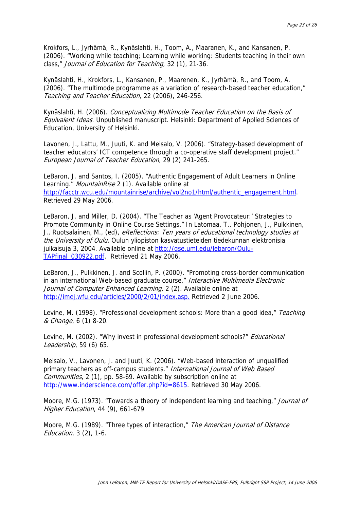Krokfors, L., Jyrhämä, R., Kynäslahti, H., Toom, A., Maaranen, K., and Kansanen, P. (2006). "Working while teaching; Learning while working: Students teaching in their own class," Journal of Education for Teaching, 32 (1), 21-36.

Kynäslahti, H., Krokfors, L., Kansanen, P., Maarenen, K., Jyrhämä, R., and Toom, A. (2006). "The multimode programme as a variation of research-based teacher education," Teaching and Teacher Education, 22 (2006), 246-256.

Kynäslahti, H. (2006). Conceptualizing Multimode Teacher Education on the Basis of Equivalent Ideas. Unpublished manuscript. Helsinki: Department of Applied Sciences of Education, University of Helsinki.

Lavonen, J., Lattu, M., Juuti, K. and Meisalo, V. (2006). "Strategy-based development of teacher educators' ICT competence through a co-operative staff development project." European Journal of Teacher Education, 29 (2) 241-265.

LeBaron, J. and Santos, I. (2005). "Authentic Engagement of Adult Learners in Online Learning." MountainRise 2 (1). Available online at [http://facctr.wcu.edu/mountainrise/archive/vol2no1/html/authentic\\_engagement.html](http://facctr.wcu.edu/mountainrise/archive/vol2no1/html/authentic_engagement.html). Retrieved 29 May 2006.

LeBaron, J, and Miller, D. (2004). "The Teacher as 'Agent Provocateur:' Strategies to Promote Community in Online Course Settings." In Latomaa, T., Pohjonen, J., Pulkkinen, J., Ruotsalainen, M., (ed), eReflections: Ten years of educational technology studies at the University of Oulu. Oulun yliopiston kasvatustieteiden tiedekunnan elektronisia julkaisuja 3, 2004. Available online at [http://gse.uml.edu/lebaron/Oulu-](http://gse.uml.edu/lebaron/Oulu-TAPfinal_030922.pdf)[TAPfinal\\_030922.pdf.](http://gse.uml.edu/lebaron/Oulu-TAPfinal_030922.pdf) Retrieved 21 May 2006.

LeBaron, J., Pulkkinen, J. and Scollin, P. (2000). "Promoting cross-border communication in an international Web-based graduate course," Interactive Multimedia Electronic Journal of Computer Enhanced Learning, 2 (2). Available online at <http://imej.wfu.edu/articles/2000/2/01/index.asp.>Retrieved 2 June 2006.

Levine, M. (1998). "Professional development schools: More than a good idea," Teaching & Change, 6 (1) 8-20.

Levine, M. (2002). "Why invest in professional development schools?" *Educational* Leadership, 59 (6) 65.

Meisalo, V., Lavonen, J. and Juuti, K. (2006). "Web-based interaction of unqualified primary teachers as off-campus students." International Journal of Web Based Communities, 2 (1), pp. 58-69. Available by subscription online at <http://www.inderscience.com/offer.php?id=8615>. Retrieved 30 May 2006.

Moore, M.G. (1973). "Towards a theory of independent learning and teaching," Journal of Higher Education, 44 (9), 661-679

Moore, M.G. (1989). "Three types of interaction," The American Journal of Distance Education, 3 (2), 1-6.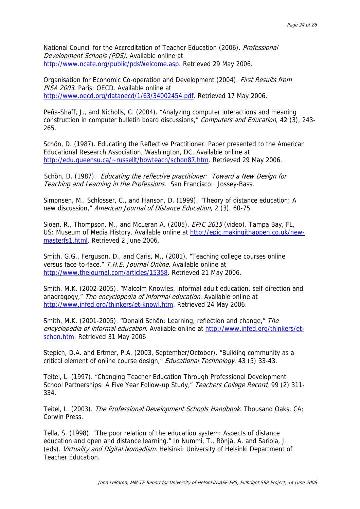National Council for the Accreditation of Teacher Education (2006). Professional Development Schools (PDS). Available online at [http://www.ncate.org/public/pdsWelcome.asp.](http://www.ncate.org/public/pdsWelcome.asp) Retrieved 29 May 2006.

Organisation for Economic Co-operation and Development (2004). First Results from PISA 2003. Paris: OECD. Available online at <http://www.oecd.org/dataoecd/1/63/34002454.pdf>. Retrieved 17 May 2006.

Peña-Shaff, J., and Nicholls, C. (2004). "Analyzing computer interactions and meaning construction in computer bulletin board discussions," Computers and Education, 42 (3), 243-265.

Schön, D. (1987). Educating the Reflective Practitioner. Paper presented to the American Educational Research Association, Washington, DC. Available online at [http://edu.queensu.ca/~russellt/howteach/schon87.htm.](http://edu.queensu.ca/~russellt/howteach/schon87.htm) Retrieved 29 May 2006.

Schön, D. (1987). Educating the reflective practitioner: Toward a New Design for Teaching and Learning in the Professions. San Francisco: Jossey-Bass.

Simonsen, M., Schlosser, C., and Hanson, D. (1999). "Theory of distance education: A new discussion," American Journal of Distance Education, 2 (3), 60-75.

Sloan, R., Thompson, M., and McLeran A. (2005). *EPIC 2015* (video). Tampa Bay, FL, US: Museum of Media History. Available online at [http://epic.makingithappen.co.uk/new](http://epic.makingithappen.co.uk/new-masterfs1.html)[masterfs1.html.](http://epic.makingithappen.co.uk/new-masterfs1.html) Retrieved 2 June 2006.

Smith, G.G., Ferguson, D., and Caris, M., (2001). "Teaching college courses online versus face-to-face." T.H.E. Journal Online. Available online at <http://www.thejournal.com/articles/15358>. Retrieved 21 May 2006.

Smith, M.K. (2002-2005). "Malcolm Knowles, informal adult education, self-direction and anadragogy," The encyclopedia of informal education. Available online at <http://www.infed.org/thinkers/et-knowl.htm>. Retrieved 24 May 2006.

Smith, M.K. (2001-2005). "Donald Schön: Learning, reflection and change," The encyclopedia of informal education. Available online at [http://www.infed.org/thinkers/et](http://www.infed.org/thinkers/et-schon.htm)[schon.htm](http://www.infed.org/thinkers/et-schon.htm). Retrieved 31 May 2006

Stepich, D.A. and Ertmer, P.A. (2003, September/October). "Building community as a critical element of online course design," *Educational Technology*, 43 (5) 33-43.

Teitel, L. (1997). "Changing Teacher Education Through Professional Development School Partnerships: A Five Year Follow-up Study," Teachers College Record, 99 (2) 311-334.

Teitel, L. (2003). The Professional Development Schools Handbook. Thousand Oaks, CA: Corwin Press.

Tella, S. (1998). "The poor relation of the education system: Aspects of distance education and open and distance learning." In Nummi, T., Rönjä, A. and Sariola, J. (eds). Virtuality and Digital Nomadism. Helsinki: University of Helsinki Department of Teacher Education.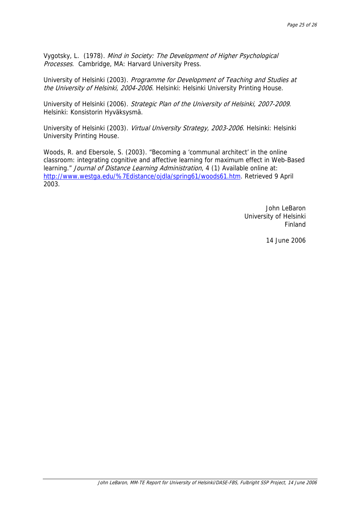Vygotsky, L. (1978). Mind in Society: The Development of Higher Psychological Processes. Cambridge, MA: Harvard University Press.

University of Helsinki (2003). Programme for Development of Teaching and Studies at the University of Helsinki, 2004-2006. Helsinki: Helsinki University Printing House.

University of Helsinki (2006). Strategic Plan of the University of Helsinki, 2007-2009. Helsinki: Konsistorin Hyväksysmä.

University of Helsinki (2003). Virtual University Strategy, 2003-2006. Helsinki: Helsinki University Printing House.

Woods, R. and Ebersole, S. (2003). "Becoming a 'communal architect' in the online classroom: integrating cognitive and affective learning for maximum effect in Web-Based learning." Journal of Distance Learning Administration, 4 (1) Available online at: [http://www.westga.edu/%7Edistance/ojdla/spring61/woods61.htm.](http://www.westga.edu/%7Edistance/ojdla/spring61/woods61.htm) Retrieved 9 April 2003.

> John LeBaron University of Helsinki Finland

> > 14 June 2006